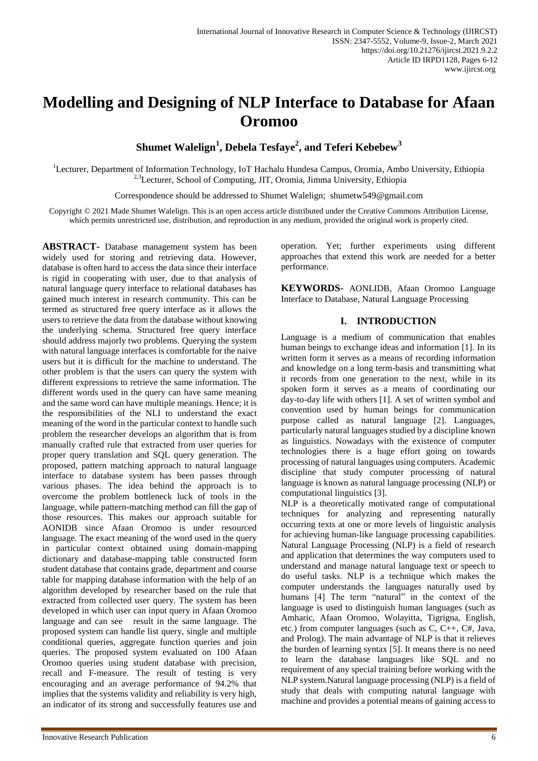# **Modelling and Designing of NLP Interface to Database for Afaan Oromoo**

**Shumet Walelign<sup>1</sup> , Debela Tesfaye<sup>2</sup> , and Teferi Kebebew<sup>3</sup>**

<sup>1</sup>Lecturer, Department of Information Technology, IoT Hachalu Hundesa Campus, Oromia, Ambo University, Ethiopia <sup>2,3</sup>Lecturer, School of Computing, JIT, Oromia, Jimma University, Ethiopia

Correspondence should be addressed to Shumet Walelign; shumetw549@gmail.com

Copyright © 2021 Made Shumet Walelign. This is an open access article distributed under the Creative Commons Attribution License, which permits unrestricted use, distribution, and reproduction in any medium, provided the original work is properly cited.

**ABSTRACT-** Database management system has been widely used for storing and retrieving data. However, database is often hard to access the data since their interface is rigid in cooperating with user, due to that analysis of natural language query interface to relational databases has gained much interest in research community. This can be termed as structured free query interface as it allows the users to retrieve the data from the database without knowing the underlying schema. Structured free query interface should address majorly two problems. Querying the system with natural language interfaces is comfortable for the naive users but it is difficult for the machine to understand. The other problem is that the users can query the system with different expressions to retrieve the same information. The different words used in the query can have same meaning and the same word can have multiple meanings. Hence; it is the responsibilities of the NLI to understand the exact meaning of the word in the particular context to handle such problem the researcher develops an algorithm that is from manually crafted rule that extracted from user queries for proper query translation and SQL query generation. The proposed, pattern matching approach to natural language interface to database system has been passes through various phases. The idea behind the approach is to overcome the problem bottleneck luck of tools in the language, while pattern-matching method can fill the gap of those resources. This makes our approach suitable for AONIDB since Afaan Oromoo is under resourced language. The exact meaning of the word used in the query in particular context obtained using domain-mapping dictionary and database-mapping table constructed form student database that contains grade, department and course table for mapping database information with the help of an algorithm developed by researcher based on the rule that extracted from collected user query. The system has been developed in which user can input query in Afaan Oromoo language and can see result in the same language. The proposed system can handle list query, single and multiple conditional queries, aggregate function queries and join queries. The proposed system evaluated on 100 Afaan Oromoo queries using student database with precision, recall and F-measure. The result of testing is very encouraging and an average performance of 94.2% that implies that the systems validity and reliability is very high, an indicator of its strong and successfully features use and

operation. Yet; further experiments using different approaches that extend this work are needed for a better performance.

**KEYWORDS-** AONLIDB, Afaan Oromoo Language Interface to Database, Natural Language Processing

# **I. INTRODUCTION**

Language is a medium of communication that enables human beings to exchange ideas and information [1]. In its written form it serves as a means of recording information and knowledge on a long term-basis and transmitting what it records from one generation to the next, while in its spoken form it serves as a means of coordinating our day-to-day life with others [1]. A set of written symbol and convention used by human beings for communication purpose called as natural language [2]. Languages, particularly natural languages studied by a discipline known as linguistics. Nowadays with the existence of computer technologies there is a huge effort going on towards processing of natural languages using computers. Academic discipline that study computer processing of natural language is known as natural language processing (NLP) or computational linguistics [3].

NLP is a theoretically motivated range of computational techniques for analyzing and representing naturally occurring texts at one or more levels of linguistic analysis for achieving human-like language processing capabilities. Natural Language Processing (NLP) is a field of research and application that determines the way computers used to understand and manage natural language text or speech to do useful tasks. NLP is a technique which makes the computer understands the languages naturally used by humans [4] The term "natural" in the context of the language is used to distinguish human languages (such as Amharic, Afaan Oromoo, Wolayitta, Tigrigna, English, etc.) from computer languages (such as C, C++, C#, Java, and Prolog). The main advantage of NLP is that it relieves the burden of learning syntax [5]. It means there is no need to learn the database languages like SQL and no requirement of any special training before working with the NLP system.Natural language processing (NLP) is a field of study that deals with computing natural language with machine and provides a potential means of gaining access to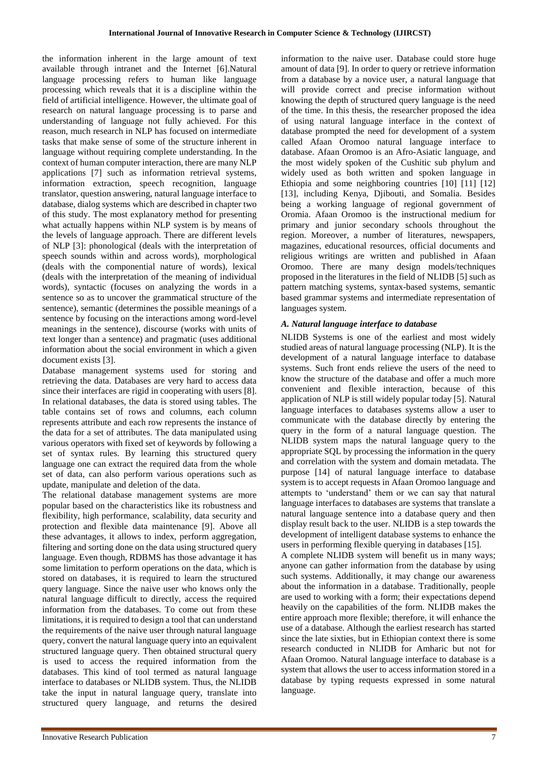the information inherent in the large amount of text available through intranet and the Internet [6].Natural language processing refers to human like language processing which reveals that it is a discipline within the field of artificial intelligence. However, the ultimate goal of research on natural language processing is to parse and understanding of language not fully achieved. For this reason, much research in NLP has focused on intermediate tasks that make sense of some of the structure inherent in language without requiring complete understanding. In the context of human computer interaction, there are many NLP applications [7] such as information retrieval systems, information extraction, speech recognition, language translator, question answering, natural language interface to database, dialog systems which are described in chapter two of this study. The most explanatory method for presenting what actually happens within NLP system is by means of the levels of language approach. There are different levels of NLP [3]: phonological (deals with the interpretation of speech sounds within and across words), morphological (deals with the componential nature of words), lexical (deals with the interpretation of the meaning of individual words), syntactic (focuses on analyzing the words in a sentence so as to uncover the grammatical structure of the sentence), semantic (determines the possible meanings of a sentence by focusing on the interactions among word-level meanings in the sentence), discourse (works with units of text longer than a sentence) and pragmatic (uses additional information about the social environment in which a given document exists [3].

Database management systems used for storing and retrieving the data. Databases are very hard to access data since their interfaces are rigid in cooperating with users [8]. In relational databases, the data is stored using tables. The table contains set of rows and columns, each column represents attribute and each row represents the instance of the data for a set of attributes. The data manipulated using various operators with fixed set of keywords by following a set of syntax rules. By learning this structured query language one can extract the required data from the whole set of data, can also perform various operations such as update, manipulate and deletion of the data.

The relational database management systems are more popular based on the characteristics like its robustness and flexibility, high performance, scalability, data security and protection and flexible data maintenance [9]. Above all these advantages, it allows to index, perform aggregation, filtering and sorting done on the data using structured query language. Even though, RDBMS has those advantage it has some limitation to perform operations on the data, which is stored on databases, it is required to learn the structured query language. Since the naive user who knows only the natural language difficult to directly, access the required information from the databases. To come out from these limitations, it is required to design a tool that can understand the requirements of the naive user through natural language query, convert the natural language query into an equivalent structured language query. Then obtained structural query is used to access the required information from the databases. This kind of tool termed as natural language interface to databases or NLIDB system. Thus, the NLIDB take the input in natural language query, translate into structured query language, and returns the desired

information to the naive user. Database could store huge amount of data [9]. In order to query or retrieve information from a database by a novice user, a natural language that will provide correct and precise information without knowing the depth of structured query language is the need of the time. In this thesis, the researcher proposed the idea of using natural language interface in the context of database prompted the need for development of a system called Afaan Oromoo natural language interface to database. Afaan Oromoo is an Afro-Asiatic language, and the most widely spoken of the Cushitic sub phylum and widely used as both written and spoken language in Ethiopia and some neighboring countries [10] [11] [12] [13], including Kenya, Djibouti, and Somalia. Besides being a working language of regional government of Oromia. Afaan Oromoo is the instructional medium for primary and junior secondary schools throughout the region. Moreover, a number of literatures, newspapers, magazines, educational resources, official documents and religious writings are written and published in Afaan Oromoo. There are many design models/techniques proposed in the literatures in the field of NLIDB [5] such as pattern matching systems, syntax-based systems, semantic based grammar systems and intermediate representation of languages system.

# *A. Natural language interface to database*

NLIDB Systems is one of the earliest and most widely studied areas of natural language processing (NLP). It is the development of a natural language interface to database systems. Such front ends relieve the users of the need to know the structure of the database and offer a much more convenient and flexible interaction, because of this application of NLP is still widely popular today [5]. Natural language interfaces to databases systems allow a user to communicate with the database directly by entering the query in the form of a natural language question. The NLIDB system maps the natural language query to the appropriate SQL by processing the information in the query and correlation with the system and domain metadata. The purpose [14] of natural language interface to database system is to accept requests in Afaan Oromoo language and attempts to 'understand' them or we can say that natural language interfaces to databases are systems that translate a natural language sentence into a database query and then display result back to the user. NLIDB is a step towards the development of intelligent database systems to enhance the users in performing flexible querying in databases [15].

A complete NLIDB system will benefit us in many ways; anyone can gather information from the database by using such systems. Additionally, it may change our awareness about the information in a database. Traditionally, people are used to working with a form; their expectations depend heavily on the capabilities of the form. NLIDB makes the entire approach more flexible; therefore, it will enhance the use of a database. Although the earliest research has started since the late sixties, but in Ethiopian context there is some research conducted in NLIDB for Amharic but not for Afaan Oromoo. Natural language interface to database is a system that allows the user to access information stored in a database by typing requests expressed in some natural language.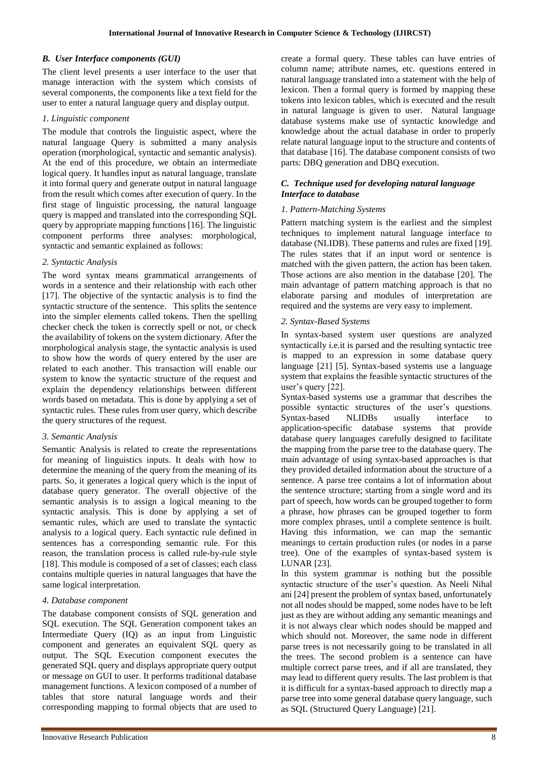### *B. User Interface components (GUI)*

The client level presents a user interface to the user that manage interaction with the system which consists of several components, the components like a text field for the user to enter a natural language query and display output.

#### *1. Linguistic component*

The module that controls the linguistic aspect, where the natural language Query is submitted a many analysis operation (morphological, syntactic and semantic analysis). At the end of this procedure, we obtain an intermediate logical query. It handles input as natural language, translate it into formal query and generate output in natural language from the result which comes after execution of query. In the first stage of linguistic processing, the natural language query is mapped and translated into the corresponding SQL query by appropriate mapping functions [16]. The linguistic component performs three analyses: morphological, syntactic and semantic explained as follows:

## *2. Syntactic Analysis*

The word syntax means grammatical arrangements of words in a sentence and their relationship with each other [17]. The objective of the syntactic analysis is to find the syntactic structure of the sentence. This splits the sentence into the simpler elements called tokens. Then the spelling checker check the token is correctly spell or not, or check the availability of tokens on the system dictionary. After the morphological analysis stage, the syntactic analysis is used to show how the words of query entered by the user are related to each another. This transaction will enable our system to know the syntactic structure of the request and explain the dependency relationships between different words based on metadata. This is done by applying a set of syntactic rules. These rules from user query, which describe the query structures of the request.

#### *3. Semantic Analysis*

Semantic Analysis is related to create the representations for meaning of linguistics inputs. It deals with how to determine the meaning of the query from the meaning of its parts. So, it generates a logical query which is the input of database query generator. The overall objective of the semantic analysis is to assign a logical meaning to the syntactic analysis. This is done by applying a set of semantic rules, which are used to translate the syntactic analysis to a logical query. Each syntactic rule defined in sentences has a corresponding semantic rule. For this reason, the translation process is called rule-by-rule style [18]. This module is composed of a set of classes; each class contains multiple queries in natural languages that have the same logical interpretation.

## *4. Database component*

The database component consists of SQL generation and SQL execution. The SQL Generation component takes an Intermediate Query (IQ) as an input from Linguistic component and generates an equivalent SQL query as output. The SQL Execution component executes the generated SQL query and displays appropriate query output or message on GUI to user. It performs traditional database management functions. A lexicon composed of a number of tables that store natural language words and their corresponding mapping to formal objects that are used to

create a formal query. These tables can have entries of column name; attribute names, etc. questions entered in natural language translated into a statement with the help of lexicon. Then a formal query is formed by mapping these tokens into lexicon tables, which is executed and the result in natural language is given to user. Natural language database systems make use of syntactic knowledge and knowledge about the actual database in order to properly relate natural language input to the structure and contents of that database [16]. The database component consists of two parts: DBQ generation and DBQ execution.

## *C. Technique used for developing natural language Interface to database*

## *1. Pattern-Matching Systems*

Pattern matching system is the earliest and the simplest techniques to implement natural language interface to database (NLIDB). These patterns and rules are fixed [19]. The rules states that if an input word or sentence is matched with the given pattern, the action has been taken. Those actions are also mention in the database [20]. The main advantage of pattern matching approach is that no elaborate parsing and modules of interpretation are required and the systems are very easy to implement.

## *2. Syntax-Based Systems*

In syntax-based system user questions are analyzed syntactically i.e.it is parsed and the resulting syntactic tree is mapped to an expression in some database query language [21] [5]. Syntax-based systems use a language system that explains the feasible syntactic structures of the user's query [22].

Syntax-based systems use a grammar that describes the possible syntactic structures of the user's questions. Syntax-based NLIDBs usually interface to application-specific database systems that provide database query languages carefully designed to facilitate the mapping from the parse tree to the database query. The main advantage of using syntax-based approaches is that they provided detailed information about the structure of a sentence. A parse tree contains a lot of information about the sentence structure; starting from a single word and its part of speech, how words can be grouped together to form a phrase, how phrases can be grouped together to form more complex phrases, until a complete sentence is built. Having this information, we can map the semantic meanings to certain production rules (or nodes in a parse tree). One of the examples of syntax-based system is LUNAR [23].

In this system grammar is nothing but the possible syntactic structure of the user's question. As Neeli Nihal ani [24] present the problem of syntax based, unfortunately not all nodes should be mapped, some nodes have to be left just as they are without adding any semantic meanings and it is not always clear which nodes should be mapped and which should not. Moreover, the same node in different parse trees is not necessarily going to be translated in all the trees. The second problem is a sentence can have multiple correct parse trees, and if all are translated, they may lead to different query results. The last problem is that it is difficult for a syntax-based approach to directly map a parse tree into some general database query language, such as SQL (Structured Query Language) [21].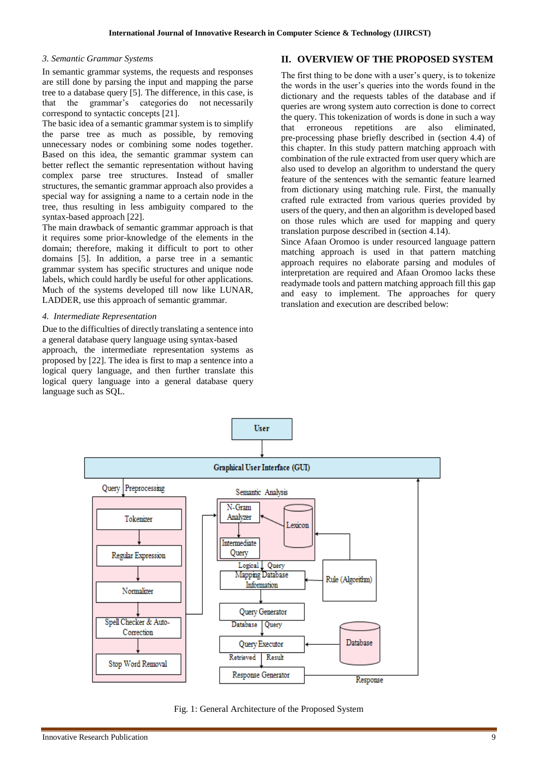#### *3. Semantic Grammar Systems*

In semantic grammar systems, the requests and responses are still done by parsing the input and mapping the parse tree to a database query [5]. The difference, in this case, is that the grammar's categories do not necessarily correspond to syntactic concepts [21].

The basic idea of a semantic grammar system is to simplify the parse tree as much as possible, by removing unnecessary nodes or combining some nodes together. Based on this idea, the semantic grammar system can better reflect the semantic representation without having complex parse tree structures. Instead of smaller structures, the semantic grammar approach also provides a special way for assigning a name to a certain node in the tree, thus resulting in less ambiguity compared to the syntax-based approach [22].

The main drawback of semantic grammar approach is that it requires some prior-knowledge of the elements in the domain; therefore, making it difficult to port to other domains [5]. In addition, a parse tree in a semantic grammar system has specific structures and unique node labels, which could hardly be useful for other applications. Much of the systems developed till now like LUNAR, LADDER, use this approach of semantic grammar.

#### *4. Intermediate Representation*

Due to the difficulties of directly translating a sentence into a general database query language using syntax-based approach, the intermediate representation systems as proposed by [22]. The idea is first to map a sentence into a logical query language, and then further translate this logical query language into a general database query language such as SQL.

# **II. OVERVIEW OF THE PROPOSED SYSTEM**

The first thing to be done with a user's query, is to tokenize the words in the user's queries into the words found in the dictionary and the requests tables of the database and if queries are wrong system auto correction is done to correct the query. This tokenization of words is done in such a way that erroneous repetitions are also eliminated, pre-processing phase briefly described in (section 4.4) of this chapter. In this study pattern matching approach with combination of the rule extracted from user query which are also used to develop an algorithm to understand the query feature of the sentences with the semantic feature learned from dictionary using matching rule. First, the manually crafted rule extracted from various queries provided by users of the query, and then an algorithm is developed based on those rules which are used for mapping and query translation purpose described in (section 4.14).

Since Afaan Oromoo is under resourced language pattern matching approach is used in that pattern matching approach requires no elaborate parsing and modules of interpretation are required and Afaan Oromoo lacks these readymade tools and pattern matching approach fill this gap and easy to implement. The approaches for query translation and execution are described below:



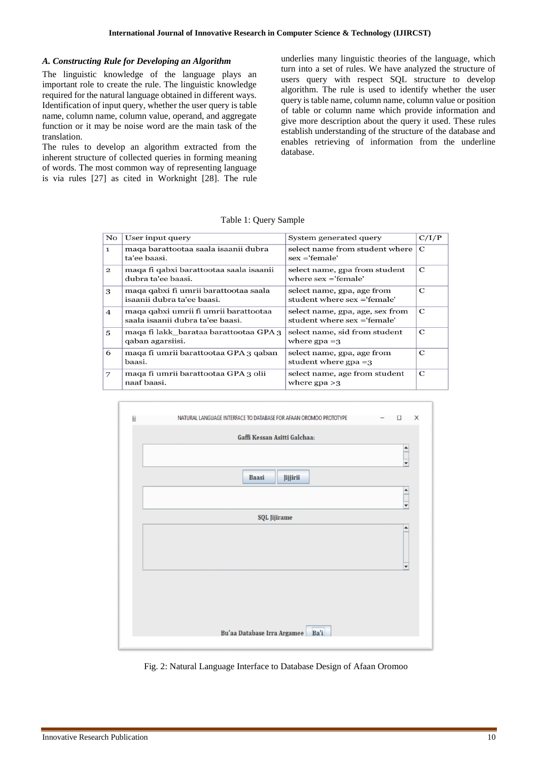#### *A. Constructing Rule for Developing an Algorithm*

The linguistic knowledge of the language plays an important role to create the rule. The linguistic knowledge required for the natural language obtained in different ways. Identification of input query, whether the user query is table name, column name, column value, operand, and aggregate function or it may be noise word are the main task of the translation.

The rules to develop an algorithm extracted from the inherent structure of collected queries in forming meaning of words. The most common way of representing language is via rules [27] as cited in Worknight [28]. The rule underlies many linguistic theories of the language, which turn into a set of rules. We have analyzed the structure of users query with respect SQL structure to develop algorithm. The rule is used to identify whether the user query is table name, column name, column value or position of table or column name which provide information and give more description about the query it used. These rules establish understanding of the structure of the database and enables retrieving of information from the underline database.

Table 1: Query Sample

| $\mathbf{N}\mathbf{o}$ | User input query                                                                                                                 | System generated query                                         |             |
|------------------------|----------------------------------------------------------------------------------------------------------------------------------|----------------------------------------------------------------|-------------|
| $\mathbf{1}$           | maqa barattootaa saala isaanii dubra<br>ta'ee baasi.                                                                             | select name from student where<br>$sex = 'female'$             | $\mathbf C$ |
| $\mathbf{2}$           | maqa fi qabxi barattootaa saala isaanii<br>dubra ta'ee baasi.                                                                    | select name, gpa from student<br>where $sex = 'female'$        | C           |
| 3                      | maqa qabxi fi umrii barattootaa saala<br>select name, gpa, age from<br>isaanii dubra ta'ee baasi.<br>student where sex ='female' |                                                                | C           |
| $\overline{4}$         | maqa qabxi umrii fi umrii barattootaa<br>saala isaanii dubra ta'ee baasi.                                                        | select name, gpa, age, sex from<br>student where sex ='female' |             |
| 5                      | maga fi lakk barataa barattootaa GPA 3<br>qaban agarsiisi.                                                                       | select name, sid from student<br>where $\text{gpa} = 3$        | C           |
| 6                      | maqa fi umrii barattootaa GPA 3 qaban<br>baasi.                                                                                  | select name, gpa, age from<br>student where $gp = 3$           |             |
| 7                      | maqa fi umrii barattootaa GPA 3 olii<br>naaf baasi.                                                                              | select name, age from student<br>where $\text{gpa} > 3$        | C           |



Fig. 2: Natural Language Interface to Database Design of Afaan Oromoo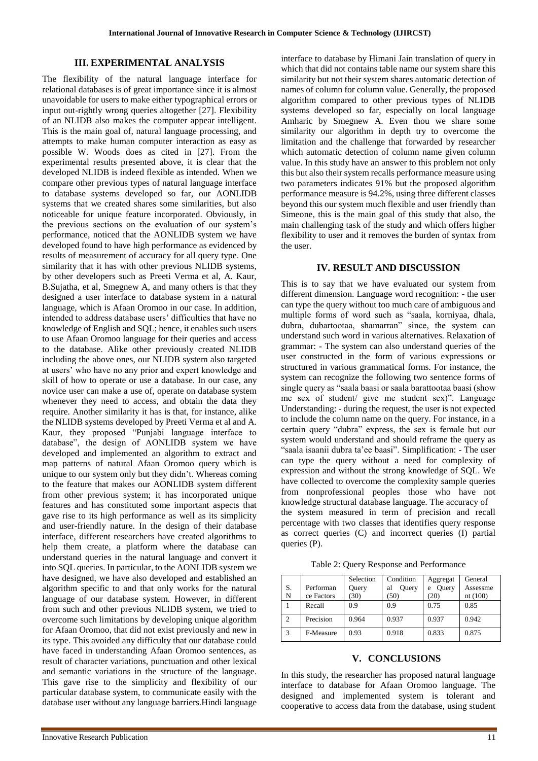#### **III. EXPERIMENTAL ANALYSIS**

The flexibility of the natural language interface for relational databases is of great importance since it is almost unavoidable for users to make either typographical errors or input out-rightly wrong queries altogether [27]. Flexibility of an NLIDB also makes the computer appear intelligent. This is the main goal of, natural language processing, and attempts to make human computer interaction as easy as possible W. Woods does as cited in [27]. From the experimental results presented above, it is clear that the developed NLIDB is indeed flexible as intended. When we compare other previous types of natural language interface to database systems developed so far, our AONLIDB systems that we created shares some similarities, but also noticeable for unique feature incorporated. Obviously, in the previous sections on the evaluation of our system's performance, noticed that the AONLIDB system we have developed found to have high performance as evidenced by results of measurement of accuracy for all query type. One similarity that it has with other previous NLIDB systems, by other developers such as Preeti Verma et al, A. Kaur, B.Sujatha, et al, Smegnew A, and many others is that they designed a user interface to database system in a natural language, which is Afaan Oromoo in our case. In addition, intended to address database users' difficulties that have no knowledge of English and SQL; hence, it enables such users to use Afaan Oromoo language for their queries and access to the database. Alike other previously created NLIDB including the above ones, our NLIDB system also targeted at users' who have no any prior and expert knowledge and skill of how to operate or use a database. In our case, any novice user can make a use of, operate on database system whenever they need to access, and obtain the data they require. Another similarity it has is that, for instance, alike the NLIDB systems developed by Preeti Verma et al and A. Kaur, they proposed "Punjabi language interface to database", the design of AONLIDB system we have developed and implemented an algorithm to extract and map patterns of natural Afaan Oromoo query which is unique to our system only but they didn't. Whereas coming to the feature that makes our AONLIDB system different from other previous system; it has incorporated unique features and has constituted some important aspects that gave rise to its high performance as well as its simplicity and user-friendly nature. In the design of their database interface, different researchers have created algorithms to help them create, a platform where the database can understand queries in the natural language and convert it into SQL queries. In particular, to the AONLIDB system we have designed, we have also developed and established an algorithm specific to and that only works for the natural language of our database system. However, in different from such and other previous NLIDB system, we tried to overcome such limitations by developing unique algorithm for Afaan Oromoo, that did not exist previously and new in its type. This avoided any difficulty that our database could have faced in understanding Afaan Oromoo sentences, as result of character variations, punctuation and other lexical and semantic variations in the structure of the language. This gave rise to the simplicity and flexibility of our particular database system, to communicate easily with the database user without any language barriers.Hindi language

interface to database by Himani Jain translation of query in which that did not contains table name our system share this similarity but not their system shares automatic detection of names of column for column value. Generally, the proposed algorithm compared to other previous types of NLIDB systems developed so far, especially on local language Amharic by Smegnew A. Even thou we share some similarity our algorithm in depth try to overcome the limitation and the challenge that forwarded by researcher which automatic detection of column name given column value. In this study have an answer to this problem not only this but also their system recalls performance measure using two parameters indicates 91% but the proposed algorithm performance measure is 94.2%, using three different classes beyond this our system much flexible and user friendly than Simeone, this is the main goal of this study that also, the main challenging task of the study and which offers higher flexibility to user and it removes the burden of syntax from the user.

# **IV. RESULT AND DISCUSSION**

This is to say that we have evaluated our system from different dimension. Language word recognition: - the user can type the query without too much care of ambiguous and multiple forms of word such as "saala, korniyaa, dhala, dubra, dubartootaa, shamarran" since, the system can understand such word in various alternatives. Relaxation of grammar: - The system can also understand queries of the user constructed in the form of various expressions or structured in various grammatical forms. For instance, the system can recognize the following two sentence forms of single query as "saala baasi or saala barattootaa baasi (show me sex of student/ give me student sex)". Language Understanding: - during the request, the user is not expected to include the column name on the query. For instance, in a certain query "dubra" express, the sex is female but our system would understand and should reframe the query as "saala isaanii dubra ta'ee baasi". Simplification: - The user can type the query without a need for complexity of expression and without the strong knowledge of SQL. We have collected to overcome the complexity sample queries from nonprofessional peoples those who have not knowledge structural database language. The accuracy of the system measured in term of precision and recall percentage with two classes that identifies query response as correct queries (C) and incorrect queries (I) partial queries (P).

Table 2: Query Response and Performance

|                |            | Selection | Condition   | Aggregat   | General  |
|----------------|------------|-----------|-------------|------------|----------|
| S.             | Performan  | Query     | Ouery<br>al | Ouery<br>e | Assessme |
| N              | ce Factors | (30)      | (50)        | (20)       | nt(100)  |
|                | Recall     | 0.9       | 0.9         | 0.75       | 0.85     |
| $\overline{c}$ | Precision  | 0.964     | 0.937       | 0.937      | 0.942    |
| 3              | F-Measure  | 0.93      | 0.918       | 0.833      | 0.875    |

#### **V. CONCLUSIONS**

In this study, the researcher has proposed natural language interface to database for Afaan Oromoo language. The designed and implemented system is tolerant and cooperative to access data from the database, using student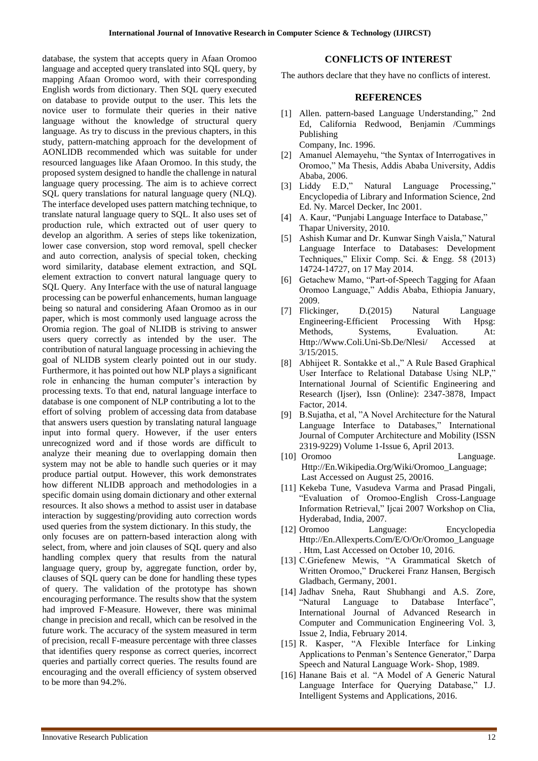database, the system that accepts query in Afaan Oromoo language and accepted query translated into SQL query, by mapping Afaan Oromoo word, with their corresponding English words from dictionary. Then SQL query executed on database to provide output to the user. This lets the novice user to formulate their queries in their native language without the knowledge of structural query language. As try to discuss in the previous chapters, in this study, pattern-matching approach for the development of AONLIDB recommended which was suitable for under resourced languages like Afaan Oromoo. In this study, the proposed system designed to handle the challenge in natural language query processing. The aim is to achieve correct SQL query translations for natural language query (NLQ). The interface developed uses pattern matching technique, to translate natural language query to SQL. It also uses set of production rule, which extracted out of user query to develop an algorithm. A series of steps like tokenization, lower case conversion, stop word removal, spell checker and auto correction, analysis of special token, checking word similarity, database element extraction, and SQL element extraction to convert natural language query to SQL Query. Any Interface with the use of natural language processing can be powerful enhancements, human language being so natural and considering Afaan Oromoo as in our paper, which is most commonly used language across the Oromia region. The goal of NLIDB is striving to answer users query correctly as intended by the user. The contribution of natural language processing in achieving the goal of NLIDB system clearly pointed out in our study. Furthermore, it has pointed out how NLP plays a significant role in enhancing the human computer's interaction by processing texts. To that end, natural language interface to database is one component of NLP contributing a lot to the effort of solving problem of accessing data from database that answers users question by translating natural language input into formal query. However, if the user enters unrecognized word and if those words are difficult to analyze their meaning due to overlapping domain then system may not be able to handle such queries or it may produce partial output. However, this work demonstrates how different NLIDB approach and methodologies in a specific domain using domain dictionary and other external resources. It also shows a method to assist user in database interaction by suggesting/providing auto correction words used queries from the system dictionary. In this study, the only focuses are on pattern-based interaction along with select, from, where and join clauses of SQL query and also handling complex query that results from the natural language query, group by, aggregate function, order by, clauses of SQL query can be done for handling these types of query. The validation of the prototype has shown encouraging performance. The results show that the system had improved F-Measure. However, there was minimal change in precision and recall, which can be resolved in the future work. The accuracy of the system measured in term of precision, recall F-measure percentage with three classes that identifies query response as correct queries, incorrect queries and partially correct queries. The results found are encouraging and the overall efficiency of system observed to be more than 94.2%.

#### **CONFLICTS OF INTEREST**

The authors declare that they have no conflicts of interest.

#### **REFERENCES**

- [1] Allen. pattern-based Language Understanding," 2nd Ed, California Redwood, Benjamin /Cummings Publishing
	- Company, Inc. 1996.
- [2] Amanuel Alemayehu, "the Syntax of Interrogatives in Oromoo," Ma Thesis, Addis Ababa University, Addis Ababa, 2006.
- [3] Liddy E.D," Natural Language Processing," Encyclopedia of Library and Information Science, 2nd Ed. Ny. Marcel Decker, Inc 2001.
- [4] A. Kaur, "Punjabi Language Interface to Database," Thapar University, 2010.
- [5] Ashish Kumar and Dr. Kunwar Singh Vaisla," Natural Language Interface to Databases: Development Techniques," Elixir Comp. Sci. & Engg. 58 (2013) 14724-14727, on 17 May 2014.
- [6] Getachew Mamo, "Part-of-Speech Tagging for Afaan Oromoo Language," Addis Ababa, Ethiopia January, 2009.
- [7] Flickinger, D.(2015) Natural Language Engineering-Efficient Processing With Hpsg: Methods, Systems, Evaluation. At: Http://Www.Coli.Uni-Sb.De/Nlesi/ Accessed at 3/15/2015.
- [8] Abhijeet R. Sontakke et al.," A Rule Based Graphical User Interface to Relational Database Using NLP," International Journal of Scientific Engineering and Research (Ijser), Issn (Online): 2347-3878, Impact Factor, 2014.
- [9] B.Sujatha, et al, "A Novel Architecture for the Natural Language Interface to Databases," International Journal of Computer Architecture and Mobility (ISSN 2319-9229) Volume 1-Issue 6, April 2013.
- [10] Oromoo Language. Http://En.Wikipedia.Org/Wiki/Oromoo\_Language; Last Accessed on August 25, 20016.
- [11] Kekeba Tune, Vasudeva Varma and Prasad Pingali, "Evaluation of Oromoo-English Cross-Language Information Retrieval," Ijcai 2007 Workshop on Clia, Hyderabad, India, 2007.
- [12] Oromoo Language: Encyclopedia Http://En.Allexperts.Com/E/O/Or/Oromoo\_Language . Htm, Last Accessed on October 10, 2016.
- [13] C.Griefenew Mewis, "A Grammatical Sketch of Written Oromoo," Druckerei Franz Hansen, Bergisch Gladbach, Germany, 2001.
- [14] Jadhav Sneha, Raut Shubhangi and A.S. Zore, "Natural Language to Database Interface", International Journal of Advanced Research in Computer and Communication Engineering Vol. 3, Issue 2, India, February 2014.
- [15] R. Kasper, "A Flexible Interface for Linking Applications to Penman's Sentence Generator," Darpa Speech and Natural Language Work- Shop, 1989.
- [16] Hanane Bais et al. "A Model of A Generic Natural Language Interface for Querying Database," I.J. Intelligent Systems and Applications, 2016.